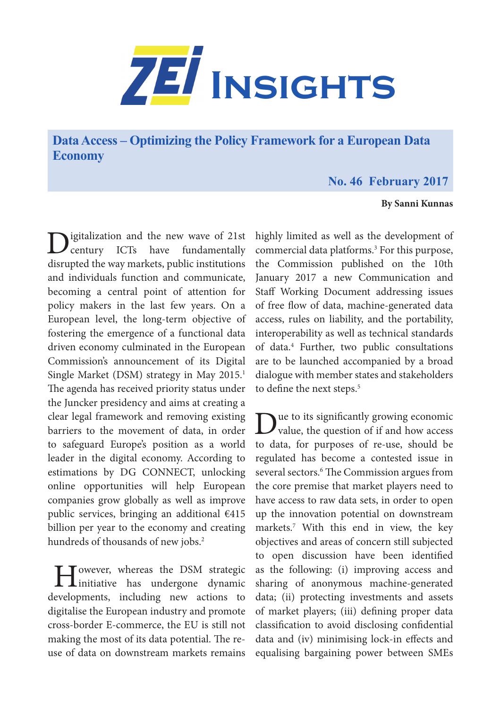

**Data Access – Optimizing the Policy Framework for a European Data Economy**

## **No. 46 February 2017**

## **By Sanni Kunnas**

igitalization and the new wave of 21st<br>century ICTs have fundamentally fundamentally disrupted the way markets, public institutions and individuals function and communicate, becoming a central point of attention for policy makers in the last few years. On a European level, the long-term objective of fostering the emergence of a functional data driven economy culminated in the European Commission's announcement of its Digital Single Market (DSM) strategy in May 2015.<sup>1</sup> The agenda has received priority status under the Juncker presidency and aims at creating a clear legal framework and removing existing barriers to the movement of data, in order to safeguard Europe's position as a world leader in the digital economy. According to estimations by DG CONNECT, unlocking online opportunities will help European companies grow globally as well as improve public services, bringing an additional €415 billion per year to the economy and creating hundreds of thousands of new jobs.<sup>2</sup>

I Jowever, whereas the DSM strategic<br>initiative has undergone dynamic developments, including new actions to digitalise the European industry and promote cross-border E-commerce, the EU is still not making the most of its data potential. The reuse of data on downstream markets remains

highly limited as well as the development of commercial data platforms.<sup>3</sup> For this purpose, the Commission published on the 10th January 2017 a new Communication and Staff Working Document addressing issues of free flow of data, machine-generated data access, rules on liability, and the portability, interoperability as well as technical standards of data.4 Further, two public consultations are to be launched accompanied by a broad dialogue with member states and stakeholders to define the next steps.<sup>5</sup>

Due to its significantly growing economic<br>value, the question of if and how access to data, for purposes of re-use, should be regulated has become a contested issue in several sectors.<sup>6</sup> The Commission argues from the core premise that market players need to have access to raw data sets, in order to open up the innovation potential on downstream markets.7 With this end in view, the key objectives and areas of concern still subjected to open discussion have been identified as the following: (i) improving access and sharing of anonymous machine-generated data; (ii) protecting investments and assets of market players; (iii) defining proper data classification to avoid disclosing confidential data and (iv) minimising lock-in effects and equalising bargaining power between SMEs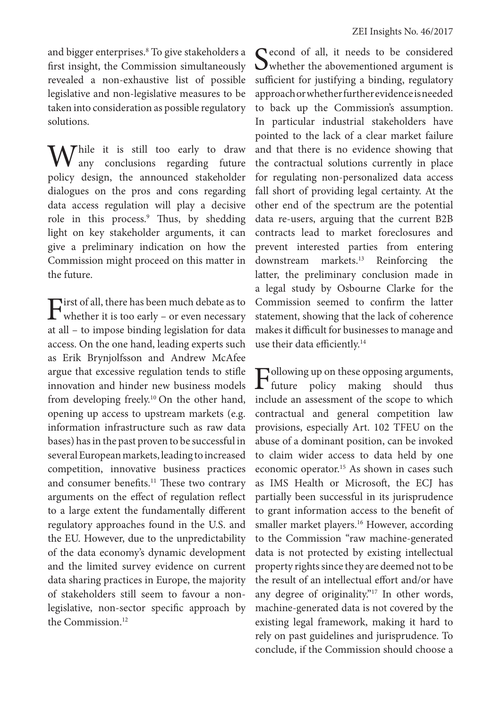and bigger enterprises.8 To give stakeholders a first insight, the Commission simultaneously revealed a non-exhaustive list of possible legislative and non-legislative measures to be taken into consideration as possible regulatory solutions.

Thile it is still too early to draw any conclusions regarding future policy design, the announced stakeholder dialogues on the pros and cons regarding data access regulation will play a decisive role in this process.9 Thus, by shedding light on key stakeholder arguments, it can give a preliminary indication on how the Commission might proceed on this matter in the future.

 $\Gamma$ irst of all, there has been much debate as to whether it is too early – or even necessary at all – to impose binding legislation for data access. On the one hand, leading experts such as Erik Brynjolfsson and Andrew McAfee argue that excessive regulation tends to stifle innovation and hinder new business models from developing freely.10 On the other hand, opening up access to upstream markets (e.g. information infrastructure such as raw data bases) has in the past proven to be successful in several European markets, leading to increased competition, innovative business practices and consumer benefits.<sup>11</sup> These two contrary arguments on the effect of regulation reflect to a large extent the fundamentally different regulatory approaches found in the U.S. and the EU. However, due to the unpredictability of the data economy's dynamic development and the limited survey evidence on current data sharing practices in Europe, the majority of stakeholders still seem to favour a nonlegislative, non-sector specific approach by the Commission.<sup>12</sup>

Second of all, it needs to be considered<br>
whether the abovementioned argument is sufficient for justifying a binding, regulatory approach or whether further evidence is needed to back up the Commission's assumption. In particular industrial stakeholders have pointed to the lack of a clear market failure and that there is no evidence showing that the contractual solutions currently in place for regulating non-personalized data access fall short of providing legal certainty. At the other end of the spectrum are the potential data re-users, arguing that the current B2B contracts lead to market foreclosures and prevent interested parties from entering downstream markets.<sup>13</sup> Reinforcing the latter, the preliminary conclusion made in a legal study by Osbourne Clarke for the Commission seemed to confirm the latter statement, showing that the lack of coherence makes it difficult for businesses to manage and use their data efficiently.<sup>14</sup>

 $\Gamma_{\text{future}}$  policy making should thus policy making include an assessment of the scope to which contractual and general competition law provisions, especially Art. 102 TFEU on the abuse of a dominant position, can be invoked to claim wider access to data held by one economic operator.15 As shown in cases such as IMS Health or Microsoft, the ECJ has partially been successful in its jurisprudence to grant information access to the benefit of smaller market players.<sup>16</sup> However, according to the Commission "raw machine-generated data is not protected by existing intellectual property rights since they are deemed not to be the result of an intellectual effort and/or have any degree of originality."17 In other words, machine-generated data is not covered by the existing legal framework, making it hard to rely on past guidelines and jurisprudence. To conclude, if the Commission should choose a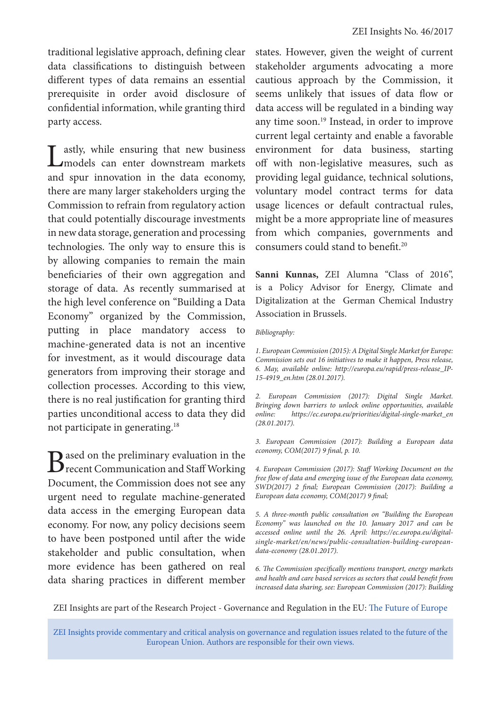traditional legislative approach, defining clear data classifications to distinguish between different types of data remains an essential prerequisite in order avoid disclosure of confidential information, while granting third party access.

Lastly, while ensuring that new business models can enter downstream markets and spur innovation in the data economy, there are many larger stakeholders urging the Commission to refrain from regulatory action that could potentially discourage investments in new data storage, generation and processing technologies. The only way to ensure this is by allowing companies to remain the main beneficiaries of their own aggregation and storage of data. As recently summarised at the high level conference on "Building a Data Economy" organized by the Commission, putting in place mandatory access to machine-generated data is not an incentive for investment, as it would discourage data generators from improving their storage and collection processes. According to this view, there is no real justification for granting third parties unconditional access to data they did not participate in generating.18

Based on the preliminary evaluation in the recent Communication and Staff Working Document, the Commission does not see any urgent need to regulate machine-generated data access in the emerging European data economy. For now, any policy decisions seem to have been postponed until after the wide stakeholder and public consultation, when more evidence has been gathered on real data sharing practices in different member

states. However, given the weight of current stakeholder arguments advocating a more cautious approach by the Commission, it seems unlikely that issues of data flow or data access will be regulated in a binding way any time soon.19 Instead, in order to improve current legal certainty and enable a favorable environment for data business, starting off with non-legislative measures, such as providing legal guidance, technical solutions, voluntary model contract terms for data usage licences or default contractual rules, might be a more appropriate line of measures from which companies, governments and consumers could stand to benefit.20

**Sanni Kunnas,** ZEI Alumna "Class of 2016", is a Policy Advisor for Energy, Climate and Digitalization at the German Chemical Industry Association in Brussels.

## *Bibliography:*

*1. European Commission (2015): A Digital Single Market for Europe: Commission sets out 16 initiatives to make it happen, Press release, 6. May, available online: http://europa.eu/rapid/press-release\_IP-15-4919\_en.htm (28.01.2017).*

*2. European Commission (2017): Digital Single Market. Bringing down barriers to unlock online opportunities, available online: https://ec.europa.eu/priorities/digital-single-market\_en (28.01.2017).*

*3. European Commission (2017): Building a European data economy, COM(2017) 9 final, p. 10.*

*4. European Commission (2017): Staff Working Document on the free flow of data and emerging issue of the European data economy, SWD(2017) 2 final; European Commission (2017): Building a European data economy, COM(2017) 9 final;*

*5. A three-month public consultation on "Building the European Economy" was launched on the 10. January 2017 and can be accessed online until the 26. April: https://ec.europa.eu/digitalsingle-market/en/news/public-consultation-building-europeandata-economy (28.01.2017).* 

*6. The Commission specifically mentions transport, energy markets and health and care based services as sectors that could benefit from increased data sharing, see: European Commission (2017): Building* 

ZEI Insights are part of the Research Project - Governance and Regulation in the EU: The Future of Europe

ZEI Insights provide commentary and critical analysis on governance and regulation issues related to the future of the European Union. Authors are responsible for their own views.